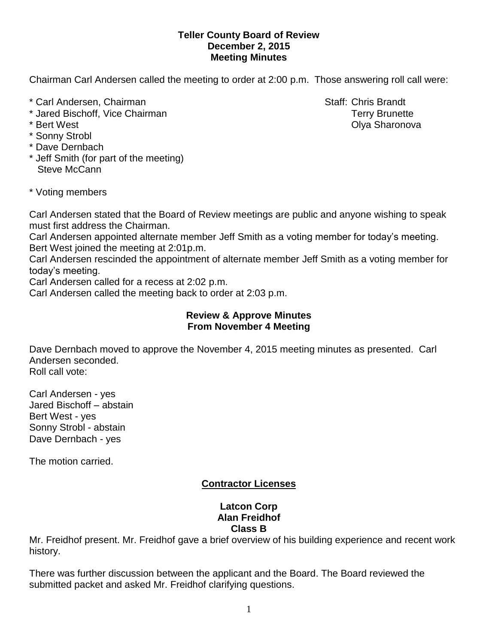### **Teller County Board of Review December 2, 2015 Meeting Minutes**

Chairman Carl Andersen called the meeting to order at 2:00 p.m. Those answering roll call were:

- \* Carl Andersen, Chairman Staff: Chris Brandt
- \* Jared Bischoff, Vice Chairman Terry Brunette
- 
- \* Sonny Strobl
- \* Dave Dernbach
- \* Jeff Smith (for part of the meeting) Steve McCann

\* Voting members

Carl Andersen stated that the Board of Review meetings are public and anyone wishing to speak must first address the Chairman.

Carl Andersen appointed alternate member Jeff Smith as a voting member for today's meeting. Bert West joined the meeting at 2:01p.m.

Carl Andersen rescinded the appointment of alternate member Jeff Smith as a voting member for today's meeting.

Carl Andersen called for a recess at 2:02 p.m.

Carl Andersen called the meeting back to order at 2:03 p.m.

## **Review & Approve Minutes From November 4 Meeting**

Dave Dernbach moved to approve the November 4, 2015 meeting minutes as presented. Carl Andersen seconded. Roll call vote:

Carl Andersen - yes Jared Bischoff – abstain Bert West - yes Sonny Strobl - abstain Dave Dernbach - yes

The motion carried.

# **Contractor Licenses**

## **Latcon Corp Alan Freidhof Class B**

Mr. Freidhof present. Mr. Freidhof gave a brief overview of his building experience and recent work history.

There was further discussion between the applicant and the Board. The Board reviewed the submitted packet and asked Mr. Freidhof clarifying questions.

\* Bert West Olya Sharonova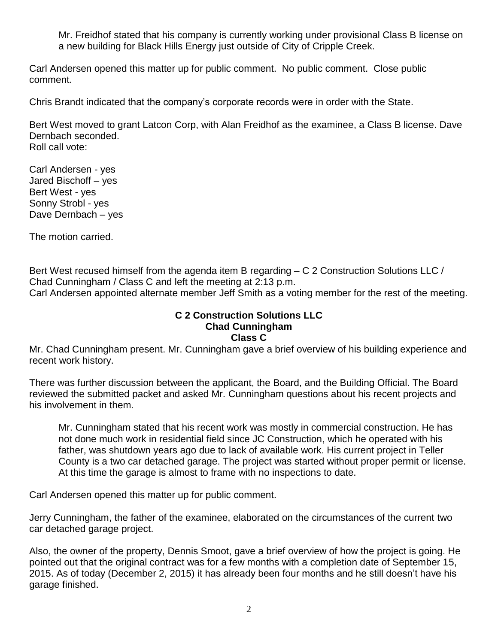Mr. Freidhof stated that his company is currently working under provisional Class B license on a new building for Black Hills Energy just outside of City of Cripple Creek.

Carl Andersen opened this matter up for public comment. No public comment. Close public comment.

Chris Brandt indicated that the company's corporate records were in order with the State.

Bert West moved to grant Latcon Corp, with Alan Freidhof as the examinee, a Class B license. Dave Dernbach seconded. Roll call vote:

Carl Andersen - yes Jared Bischoff – yes Bert West - yes Sonny Strobl - yes Dave Dernbach – yes

The motion carried.

Bert West recused himself from the agenda item B regarding – C 2 Construction Solutions LLC / Chad Cunningham / Class C and left the meeting at 2:13 p.m. Carl Andersen appointed alternate member Jeff Smith as a voting member for the rest of the meeting.

#### **C 2 Construction Solutions LLC Chad Cunningham Class C**

Mr. Chad Cunningham present. Mr. Cunningham gave a brief overview of his building experience and recent work history.

There was further discussion between the applicant, the Board, and the Building Official. The Board reviewed the submitted packet and asked Mr. Cunningham questions about his recent projects and his involvement in them.

Mr. Cunningham stated that his recent work was mostly in commercial construction. He has not done much work in residential field since JC Construction, which he operated with his father, was shutdown years ago due to lack of available work. His current project in Teller County is a two car detached garage. The project was started without proper permit or license. At this time the garage is almost to frame with no inspections to date.

Carl Andersen opened this matter up for public comment.

Jerry Cunningham, the father of the examinee, elaborated on the circumstances of the current two car detached garage project.

Also, the owner of the property, Dennis Smoot, gave a brief overview of how the project is going. He pointed out that the original contract was for a few months with a completion date of September 15, 2015. As of today (December 2, 2015) it has already been four months and he still doesn't have his garage finished.